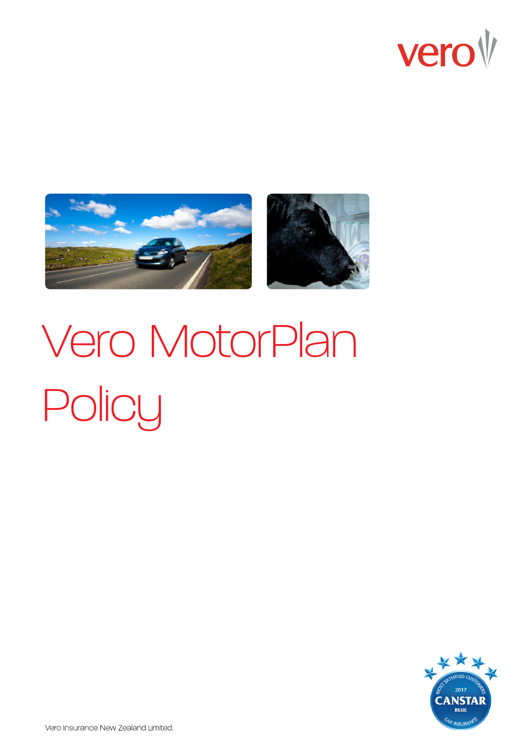





# Vero MotorPlan Policy

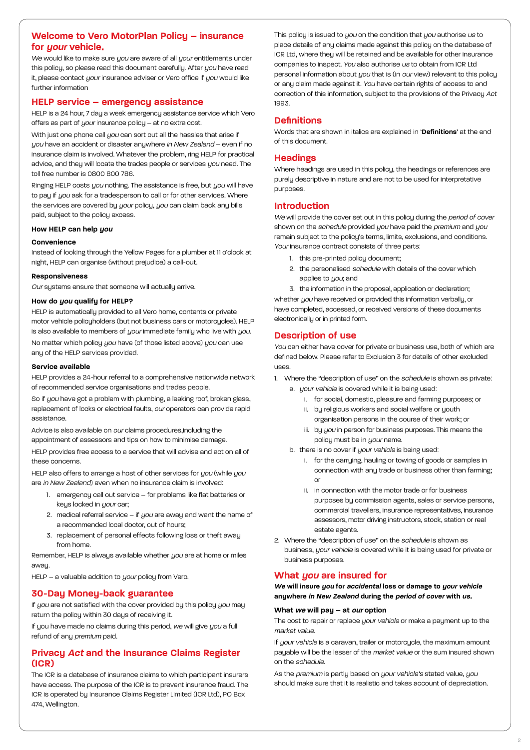# **Welcome to Vero MotorPlan Policy – insurance for your vehicle.**

We would like to make sure you are aware of all your entitlements under this policy, so please read this document carefully. After you have read it, please contact your insurance adviser or Vero office if you would like further information

## **HELP service – emergency assistance**

HELP is a 24 hour, 7 day a week emergency assistance service which Vero offers as part of your insurance policy – at no extra cost.

With just one phone call you can sort out all the hassles that arise if you have an accident or disaster anywhere in New Zealand – even if no insurance claim is involved. Whatever the problem, ring HELP for practical advice, and they will locate the trades people or services you need. The toll free number is 0800 800 786.

Ringing HELP costs *you* nothing. The assistance is free, but you will have to pay if you ask for a tradesperson to call or for other services. Where the services are covered by your policy, you can claim back any bills paid, subject to the policy excess.

#### **How HELP can help you**

#### **Convenience**

Instead of looking through the Yellow Pages for a plumber at 11 o'clock at night, HELP can organise (without prejudice) a call-out.

#### **Responsiveness**

Our systems ensure that someone will actually arrive.

## **How do you qualify for HELP?**

HELP is automatically provided to all Vero home, contents or private motor vehicle policyholders (but not business cars or motorcycles). HELP is also available to members of your immediate family who live with you. No matter which policy you have (of those listed above) you can use any of the HELP services provided.

## **Service available**

HELP provides a 24-hour referral to a comprehensive nationwide network of recommended service organisations and trades people.

So if you have got a problem with plumbing, a leaking roof, broken glass, replacement of locks or electrical faults, our operators can provide rapid assistance.

Advice is also available on our claims procedures,including the appointment of assessors and tips on how to minimise damage.

HELP provides free access to a service that will advise and act on all of these concerns.

HELP also offers to arrange a host of other services for you (while you are in New Zealand) even when no insurance claim is involved:

- 1. emergency call out service for problems like flat batteries or keys locked in your car;
- 2. medical referral service if  $you$  are away and want the name of a recommended local doctor, out of hours;
- 3. replacement of personal effects following loss or theft away from home.

Remember, HELP is always available whether you are at home or miles awau.

HELP – a valuable addition to your policy from Vero.

# **30-Day Money-back guarantee**

If you are not satisfied with the cover provided by this policy you may return the policy within 30 days of receiving it.

If you have made no claims during this period, we will give you a full refund of any premium paid.

# **Privacy Act and the Insurance Claims Register (ICR)**

The ICR is a database of insurance claims to which participant insurers have access. The purpose of the ICR is to prevent insurance fraud. The ICR is operated by Insurance Claims Register Limited (ICR Ltd), PO Box 474, Wellington.

This policy is issued to you on the condition that you authorise us to place details of any claims made against this policy on the database of ICR Ltd, where they will be retained and be available for other insurance companies to inspect. You also authorise us to obtain from ICR Ltd personal information about you that is (in our view) relevant to this policy or any claim made against it. You have certain rights of access to and correction of this information, subject to the provisions of the Privacy Act 1993.

# **Definitions**

Words that are shown in italics are explained in '**Definitions**' at the end of this document.

# **Headings**

Where headings are used in this policy, the headings or references are purely descriptive in nature and are not to be used for interpretative purposes.

# **Introduction**

We will provide the cover set out in this policy during the period of cover shown on the schedule provided you have paid the premium and you remain subject to the policy's terms, limits, exclusions, and conditions. Your insurance contract consists of three parts:

- 1. this pre-printed policu document:
- 2. the personalised schedule with details of the cover which applies to you; and

3. the information in the proposal, application or declaration; whether you have received or provided this information verbally, or have completed, accessed, or received versions of these documents electronically or in printed form.

# **Description of use**

You can either have cover for private or business use, both of which are defined below. Please refer to Exclusion 3 for details of other excluded uses.

1. Where the "description of use" on the *schedule* is shown as private:

- a. your vehicle is covered while it is being used:
	- i. for social, domestic, pleasure and farming purposes; or
	- ii. by religious workers and social welfare or youth organisation persons in the course of their work; or
	- iii. by you in person for business purposes. This means the policy must be in your name.
- b. there is no cover if your vehicle is being used:
	- i. for the carrying, hauling or towing of goods or samples in connection with any trade or business other than farming; or
	- ii. in connection with the motor trade or for business purposes by commission agents, sales or service persons, commercial travellers, insurance representatives, insurance assessors, motor driving instructors, stock, station or real estate agents.
- 2. Where the "description of use" on the schedule is shown as business, your vehicle is covered while it is being used for private or business purposes.

# **What you are insured for**

**We will insure you for accidental loss or damage to your vehicle anywhere in New Zealand during the period of cover with us.**

## **What we will pay – at our option**

The cost to repair or replace *your vehicle* or make a payment up to the market value.

If your vehicle is a caravan, trailer or motorcycle, the maximum amount pauable will be the lesser of the *market value* or the sum insured shown on the schedule.

As the premium is partly based on your vehicle's stated value, you should make sure that it is realistic and takes account of depreciation.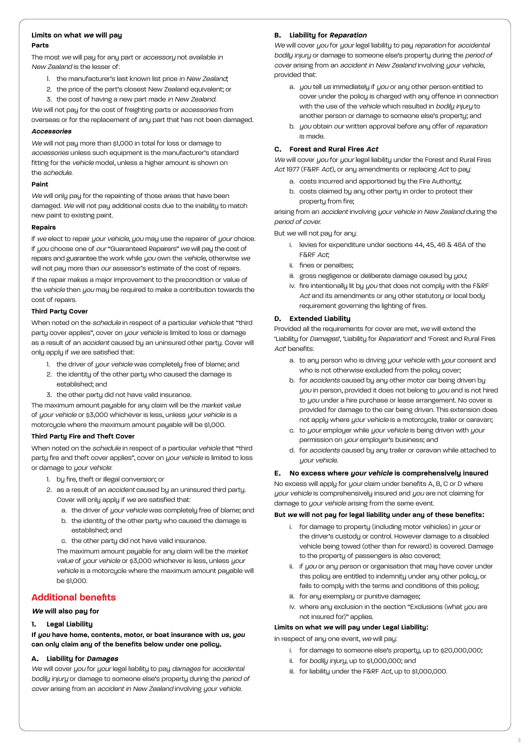#### **Limits on what we will pay Parts**

The most we will pay for any part or *accessory* not available in New Zealand is the lesser of:

- 1. the manufacturer's last known list price in New Zealand;
- 2. the price of the part's closest New Zealand equivalent; or
- 3. the cost of having a new part made in New Zealand.

We will not pay for the cost of freighting parts or *accessories* from overseas or for the replacement of any part that has not been damaged.

## **Accessories**

We will not pay more than \$1,000 in total for loss or damage to accessories unless such equipment is the manufacturer's standard fitting for the vehicle model, unless a higher amount is shown on the schedule.

## **Paint**

We will only pay for the repainting of those areas that have been damaged. We will not pay additional costs due to the inability to match new paint to existing paint.

## **Repairs**

If we elect to repair your vehicle, you may use the repairer of your choice. If you choose one of our "Guaranteed Repairers" we will pay the cost of repairs and guarantee the work while you own the vehicle, otherwise we will not pay more than our assessor's estimate of the cost of repairs.

If the repair makes a major improvement to the precondition or value of the vehicle then you may be required to make a contribution towards the cost of repairs.

# **Third Party Cover**

When noted on the *schedule* in respect of a particular vehicle that "third party cover applies", cover on your vehicle is limited to loss or damage as a result of an accident caused by an uninsured other party. Cover will only apply if we are satisfied that:

- 1. the driver of your vehicle was completely free of blame; and
- 2. the identity of the other party who caused the damage is established; and
- 3. the other party did not have valid insurance.

The maximum amount payable for any claim will be the market value of your vehicle or \$3,000 whichever is less, unless your vehicle is a motorcycle where the maximum amount payable will be \$1,000.

#### **Third Party Fire and Theft Cover**

When noted on the schedule in respect of a particular vehicle that "third party fire and theft cover applies", cover on *your vehicle* is limited to loss or damage to your vehicle:

- 1. by fire, theft or illegal conversion; or
- 2. as a result of an *accident* caused by an uninsured third party. Cover will only apply if we are satisfied that:
	- a. the driver of your vehicle was completely free of blame; and b. the identity of the other party who caused the damage is
	- established; and
	- c. the other party did not have valid insurance.

The maximum amount payable for any claim will be the market value of your vehicle or \$3,000 whichever is less, unless your vehicle is a motorcycle where the maximum amount payable will be \$1,000.

# **Additional benefits**

## **We will also pay for**

## **1. Legal Liability**

**If you have home, contents, motor, or boat insurance with us, you can only claim any of the benefits below under one policy.**

# **A. Liability for Damages**

We will cover you for your legal liability to pay damages for accidental bodily injury or damage to someone else's property during the period of cover arising from an accident in New Zealand involving your vehicle.

# **B. Liability for Reparation**

We will cover you for your legal liability to pay reparation for accidental bodily injury or damage to someone else's property during the period of cover arising from an accident in New Zealand involving your vehicle, provided that:

- a. you tell us immediately if you or any other person entitled to cover under the policy is charged with any offence in connection with the use of the vehicle which resulted in bodily injury to another person or damage to someone else's property; and
- b. you obtain our written approval before any offer of reparation is made.

## **C. Forest and Rural Fires Act**

We will cover you for your legal liability under the Forest and Rural Fires Act 1977 (F&RF Act), or any amendments or replacing Act to pay:

- a. costs incurred and apportioned by the Fire Authority;
- b. costs claimed by any other party in order to protect their property from fire;

arising from an accident involving your vehicle in New Zealand during the period of cover.

But we will not pay for any:

- i. levies for expenditure under sections 44, 45, 46 & 46A of the F&RF Act;
- ii. fines or penalties;
- iii. gross negligence or deliberate damage caused by you;
- iv. fire intentionally lit by you that does not comply with the F&RF Act and its amendments or any other statutory or local body requirement governing the lighting of fires.

# **D. Extended Liability**

Provided all the requirements for cover are met, we will extend the 'Liability for Damages', 'Liability for Reparation' and 'Forest and Rural Fires Act' benefits:

- a. to any person who is driving your vehicle with your consent and who is not otherwise excluded from the policy cover;
- b. for accidents caused by any other motor car being driven by you in person, provided it does not belong to you and is not hired to you under a hire purchase or lease arrangement. No cover is provided for damage to the car being driven. This extension does not apply where your vehicle is a motorcycle, trailer or caravan;
- c. to your employer while your vehicle is being driven with your permission on your employer's business; and
- d. for accidents caused by any trailer or caravan while attached to uour vehicle.

## **E. No excess where your vehicle is comprehensively insured**

No excess will apply for your claim under benefits A, B, C or D where your vehicle is comprehensively insured and you are not claiming for damage to your vehicle arising from the same event.

## **But we will not pay for legal liability under any of these benefits:**

- i. for damage to property (including motor vehicles) in your or the driver's custody or control. However damage to a disabled vehicle being towed (other than for reward) is covered. Damage to the property of passengers is also covered;
- ii. if you or any person or organisation that may have cover under this policy are entitled to indemnity under any other policy, or fails to comply with the terms and conditions of this policy;
- iii. for any exemplary or punitive damages;
- iv. where any exclusion in the section "Exclusions (what you are not insured for)" applies.

## **Limits on what we will pay under Legal Liability:**

In respect of any one event, we will pay:

- i. for damage to someone else's property, up to \$20,000,000;
- ii. for bodily injury, up to \$1,000,000; and
- iii. for liability under the F&RF Act, up to \$1,000,000.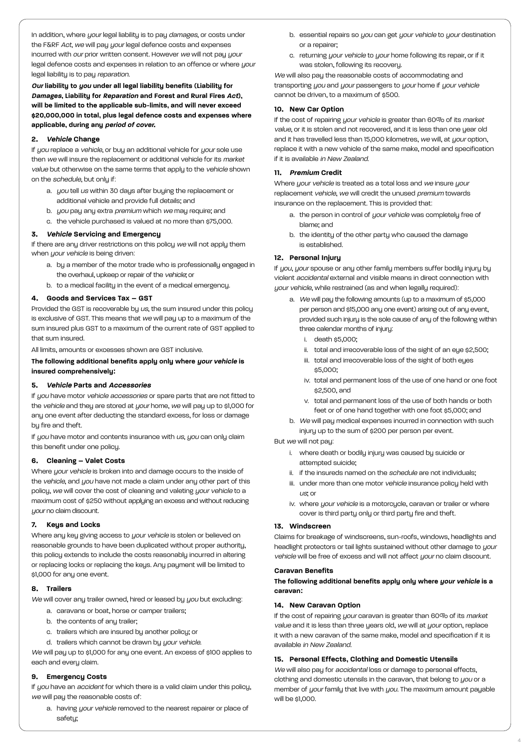In addition, where your legal liability is to pay damages, or costs under the F&RF Act, we will pay your legal defence costs and expenses incurred with our prior written consent. However we will not pay your legal defence costs and expenses in relation to an offence or where your legal liability is to pay reparation.

**Our liability to you under all legal liability benefits (Liability for Damages, Liability for Reparation and Forest and Rural Fires Act), will be limited to the applicable sub-limits, and will never exceed \$20,000,000 in total, plus legal defence costs and expenses where applicable, during any period of cover.**

## **2. Vehicle Change**

If you replace a vehicle, or buy an additional vehicle for your sole use then we will insure the replacement or additional vehicle for its market value but otherwise on the same terms that apply to the vehicle shown on the schedule, but only if:

- a. you tell us within 30 days after buying the replacement or additional vehicle and provide full details; and
- b. you pay any extra premium which we may require; and
- c. the vehicle purchased is valued at no more than \$75,000.

## **3. Vehicle Servicing and Emergency**

If there are any driver restrictions on this policy we will not apply them when *your vehicle* is being driven:

- a. by a member of the motor trade who is professionally engaged in the overhaul, upkeep or repair of the vehicle; or
- b. to a medical facility in the event of a medical emergency.

## **4. Goods and Services Tax – GST**

Provided the GST is recoverable by us, the sum insured under this policy is exclusive of GST. This means that we will pay up to a maximum of the sum insured plus GST to a maximum of the current rate of GST applied to that sum insured.

All limits, amounts or excesses shown are GST inclusive.

## **The following additional benefits apply only where your vehicle is insured comprehensively:**

## **5. Vehicle Parts and Accessories**

If you have motor vehicle accessories or spare parts that are not fitted to the vehicle and they are stored at your home, we will pay up to \$1,000 for any one event after deducting the standard excess, for loss or damage by fire and theft.

If you have motor and contents insurance with us, you can only claim this benefit under one policy.

#### **6. Cleaning – Valet Costs**

Where your vehicle is broken into and damage occurs to the inside of the vehicle, and you have not made a claim under any other part of this policy, we will cover the cost of cleaning and valeting your vehicle to a maximum cost of \$250 without applying an excess and without reducing uour no claim discount.

#### **7. Keys and Locks**

Where any key giving access to your vehicle is stolen or believed on reasonable grounds to have been duplicated without proper authority, this policy extends to include the costs reasonably incurred in altering or replacing locks or replacing the keys. Any payment will be limited to \$1,000 for any one event.

## **8. Trailers**

We will cover any trailer owned, hired or leased by you but excluding:

- a. caravans or boat, horse or camper trailers;
- b. the contents of any trailer;
- c. trailers which are insured by another policy; or
- d. trailers which cannot be drawn by your vehicle.

We will pay up to \$1,000 for any one event. An excess of \$100 applies to each and every claim.

## **9. Emergency Costs**

If you have an accident for which there is a valid claim under this policy, we will pay the reasonable costs of:

a. having your vehicle removed to the nearest repairer or place of safetu:

- b. essential repairs so you can get your vehicle to your destination or a repairer;
- c. returning your vehicle to your home following its repair, or if it was stolen, following its recovery.

We will also pay the reasonable costs of accommodating and transporting you and your passengers to your home if your vehicle cannot be driven, to a maximum of \$500.

#### **10. New Car Option**

If the cost of repairing your vehicle is greater than 60% of its market value, or it is stolen and not recovered, and it is less than one year old and it has travelled less than 15,000 kilometres, we will, at your option, replace it with a new vehicle of the same make, model and specification if it is available in New Zealand.

## **11. Premium Credit**

Where your vehicle is treated as a total loss and we insure your replacement vehicle, we will credit the unused premium towards insurance on the replacement. This is provided that:

- a. the person in control of your vehicle was completely free of blame; and
- b. the identity of the other party who caused the damage is established.

## **12. Personal Injury**

If you, your spouse or any other family members suffer bodily injury by violent accidental external and visible means in direct connection with your vehicle, while restrained (as and when legally required):

- a. We will pay the following amounts (up to a maximum of \$5,000 per person and \$15,000 any one event) arising out of any event, provided such injury is the sole cause of any of the following within three calendar months of injury:
	- i. death \$5,000;
	- ii. total and irrecoverable loss of the sight of an eye \$2,500;
	- iii. total and irrecoverable loss of the sight of both eyes \$5,000;
	- iv. total and permanent loss of the use of one hand or one foot \$2,500, and
	- v. total and permanent loss of the use of both hands or both feet or of one hand together with one foot \$5,000; and
- b. We will pay medical expenses incurred in connection with such injury up to the sum of \$200 per person per event.

## But we will not pay:

- i. where death or bodily injury was caused by suicide or attempted suicide;
- ii. if the insureds named on the schedule are not individuals;
- iii. under more than one motor vehicle insurance policy held with  $US$ ; Or
- iv. where your vehicle is a motorcycle, caravan or trailer or where cover is third party only or third party fire and theft.

#### **13. Windscreen**

Claims for breakage of windscreens, sun-roofs, windows, headlights and headlight protectors or tail lights sustained without other damage to your vehicle will be free of excess and will not affect your no claim discount.

## **Caravan Benefits**

**The following additional benefits apply only where your vehicle is a caravan:**

#### **14. New Caravan Option**

If the cost of repairing your caravan is greater than 60% of its market value and it is less than three years old, we will at your option, replace it with a new caravan of the same make, model and specification if it is available in New Zealand.

## **15. Personal Effects, Clothing and Domestic Utensils**

We will also pay for *accidental* loss or damage to personal effects, clothing and domestic utensils in the caravan, that belong to you or a member of your family that live with you. The maximum amount payable will be \$1,000.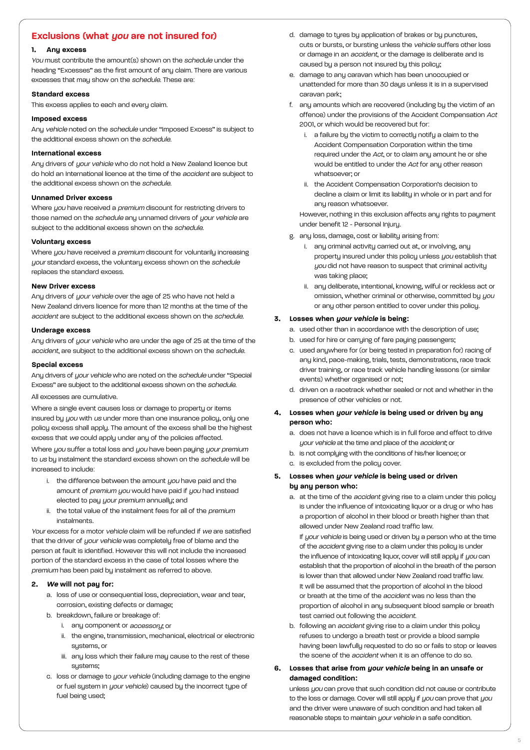# **Exclusions (what you are not insured for)**

## **1. Any excess**

You must contribute the amount(s) shown on the schedule under the heading "Excesses" as the first amount of any claim. There are various excesses that may show on the schedule. These are:

#### **Standard excess**

This excess applies to each and every claim.

## **Imposed excess**

Any vehicle noted on the schedule under "Imposed Excess" is subject to the additional excess shown on the schedule.

## **International excess**

Any drivers of your vehicle who do not hold a New Zealand licence but do hold an International licence at the time of the accident are subject to the additional excess shown on the *schedule*.

#### **Unnamed Driver excess**

Where you have received a premium discount for restricting drivers to those named on the schedule any unnamed drivers of your vehicle are subject to the additional excess shown on the schedule.

#### **Voluntary excess**

Where you have received a premium discount for voluntarily increasing your standard excess, the voluntary excess shown on the schedule replaces the standard excess.

#### **New Driver excess**

Any drivers of your vehicle over the age of 25 who have not held a New Zealand drivers licence for more than 12 months at the time of the accident are subject to the additional excess shown on the schedule.

#### **Underage excess**

Any drivers of your vehicle who are under the age of 25 at the time of the accident, are subject to the additional excess shown on the schedule.

#### **Special excess**

Any drivers of your vehicle who are noted on the schedule under "Special Excess" are subject to the additional excess shown on the schedule.

#### All excesses are cumulative.

Where a single event causes loss or damage to property or items insured by you with us under more than one insurance policy, only one policy excess shall apply. The amount of the excess shall be the highest excess that we could apply under any of the policies affected.

Where you suffer a total loss and you have been paying your premium to us by instalment the standard excess shown on the schedule will be increased to include:

- i. the difference between the amount  $you$  have paid and the amount of premium you would have paid if you had instead elected to pay your premium annually; and
- ii. the total value of the instalment fees for all of the premium instalments.

Your excess for a motor vehicle claim will be refunded if we are satisfied that the driver of your vehicle was completely free of blame and the person at fault is identified. However this will not include the increased portion of the standard excess in the case of total losses where the premium has been paid by instalment as referred to above.

#### **2. We will not pay for:**

- a. loss of use or consequential loss, depreciation, wear and tear, corrosion, existing defects or damage;
- b. breakdown, failure or breakage of:
	- i. any component or *accessory*: or
	- ii. the engine, transmission, mechanical, electrical or electronic systems, or
	- iii. any loss which their failure may cause to the rest of these systems;
- c. loss or damage to your vehicle (including damage to the engine or fuel system in your vehicle) caused by the incorrect type of fuel being used;
- d. damage to tyres by application of brakes or by punctures, cuts or bursts, or bursting unless the vehicle suffers other loss or damage in an accident, or the damage is deliberate and is caused by a person not insured by this policy;
- e. damage to any caravan which has been unoccupied or unattended for more than 30 days unless it is in a supervised caravan park;
- f. any amounts which are recovered (including by the victim of an offence) under the provisions of the Accident Compensation Act 2001, or which would be recovered but for:
	- i. a failure by the victim to correctly notify a claim to the Accident Compensation Corporation within the time required under the Act, or to claim any amount he or she would be entitled to under the Act for any other reason whatsoever; or
	- ii. the Accident Compensation Corporation's decision to decline a claim or limit its liability in whole or in part and for anu reason whatsoever.

However, nothing in this exclusion affects any rights to payment under benefit 12 - Personal Injury.

- g. any loss, damage, cost or liability arising from:
	- i. any criminal activity carried out at, or involving, any property insured under this policy unless you establish that you did not have reason to suspect that criminal activity was taking place;
	- ii. any deliberate, intentional, knowing, wilful or reckless act or omission, whether criminal or otherwise, committed by you or any other person entitled to cover under this policy.

## **3. Losses when your vehicle is being:**

a. used other than in accordance with the description of use;

- b. used for hire or carrying of fare paying passengers;
- c. used anywhere for (or being tested in preparation for) racing of any kind, pace-making, trials, tests, demonstrations, race track driver training, or race track vehicle handling lessons (or similar events) whether organised or not;
- d. driven on a racetrack whether sealed or not and whether in the presence of other vehicles or not.
- **4. Losses when your vehicle is being used or driven by any person who:**
	- a. does not have a licence which is in full force and effect to drive your vehicle at the time and place of the accident; or
	- b. is not complying with the conditions of his/her licence; or
	- c. is excluded from the policy cover.
- **5. Losses when your vehicle is being used or driven by any person who:**
	- a. at the time of the *accident* giving rise to a claim under this policy is under the influence of intoxicating liquor or a drug or who has a proportion of alcohol in their blood or breath higher than that allowed under New Zealand road traffic law.

If your vehicle is being used or driven by a person who at the time of the *accident* giving rise to a claim under this policy is under the influence of intoxicating liquor, cover will still apply if you can establish that the proportion of alcohol in the breath of the person is lower than that allowed under New Zealand road traffic law. It will be assumed that the proportion of alcohol in the blood or breath at the time of the accident was no less than the proportion of alcohol in any subsequent blood sample or breath test carried out following the accident.

- b. following an *accident* giving rise to a claim under this policy refuses to undergo a breath test or provide a blood sample having been lawfully requested to do so or fails to stop or leaves the scene of the *accident* when it is an offence to do so.
- **6. Losses that arise from your vehicle being in an unsafe or damaged condition:**

unless you can prove that such condition did not cause or contribute to the loss or damage. Cover will still apply if you can prove that you and the driver were unaware of such condition and had taken all reasonable steps to maintain *your vehicle* in a safe condition.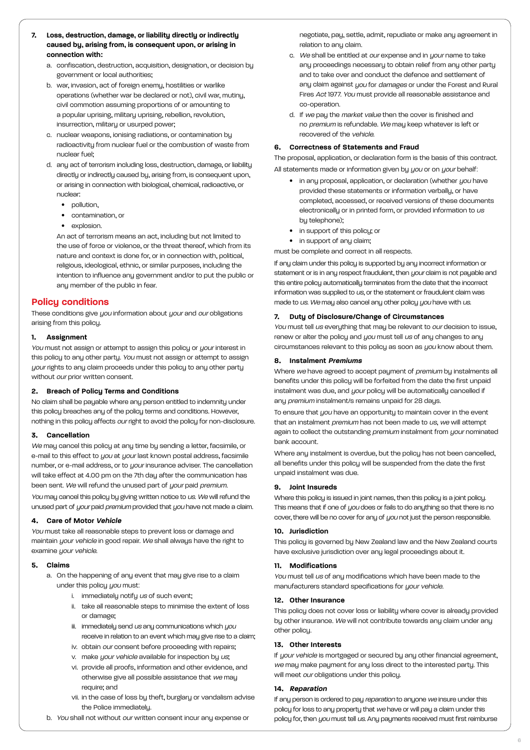- **7. Loss, destruction, damage, or liability directly or indirectly caused by, arising from, is consequent upon, or arising in connection with:**
	- a. confiscation, destruction, acquisition, designation, or decision by government or local authorities;
	- b. war, invasion, act of foreign enemy, hostilities or warlike operations (whether war be declared or not), civil war, mutiny, civil commotion assuming proportions of or amounting to a popular uprising, military uprising, rebellion, revolution, insurrection, military or usurped power;
	- c. nuclear weapons, ionising radiations, or contamination by radioactivity from nuclear fuel or the combustion of waste from nuclear fuel;
	- d. any act of terrorism including loss, destruction, damage, or liability directly or indirectly caused by, arising from, is consequent upon, or arising in connection with biological, chemical, radioactive, or nuclear:
		- pollution.
		- contamination, or
		- explosion.

An act of terrorism means an act, including but not limited to the use of force or violence, or the threat thereof, which from its nature and context is done for, or in connection with, political, religious, ideological, ethnic, or similar purposes, including the intention to influence any government and/or to put the public or any member of the public in fear.

# **Policy conditions**

These conditions give you information about your and our obligations arising from this policy.

## **1. Assignment**

You must not assign or attempt to assign this policy or your interest in this policy to any other party. You must not assign or attempt to assign your rights to any claim proceeds under this policy to any other party without *our* prior written consent.

#### **2. Breach of Policy Terms and Conditions**

No claim shall be payable where any person entitled to indemnity under this policy breaches any of the policy terms and conditions. However, nothing in this policy affects our right to avoid the policy for non-disclosure.

#### **3. Cancellation**

We may cancel this policy at any time by sending a letter, facsimile, or e-mail to this effect to you at your last known postal address, facsimile number, or e-mail address, or to your insurance adviser. The cancellation will take effect at 4.00 pm on the 7th day after the communication has been sent. We will refund the unused part of your paid premium.

You may cancel this policy by giving written notice to us. We will refund the unused part of your paid premium provided that you have not made a claim.

#### **4. Care of Motor Vehicle**

You must take all reasonable steps to prevent loss or damage and maintain your vehicle in good repair. We shall always have the right to examine *your vehicle* 

#### **5. Claims**

- a. On the happening of any event that may give rise to a claim under this policy you must:
	- i. immediately notify us of such event;
	- ii. take all reasonable steps to minimise the extent of loss or damage;
	- iii. immediately send us any communications which you receive in relation to an event which may give rise to a claim;
	- iv. obtain our consent before proceeding with repairs;
	- v. make your vehicle available for inspection by us;
	- vi. provide all proofs, information and other evidence, and otherwise give all possible assistance that we may require; and
	- vii. in the case of loss by theft, burglary or vandalism advise the Police immediately.
- b. You shall not without our written consent incur any expense or

negotiate, pay, settle, admit, repudiate or make any agreement in relation to any claim.

- c. We shall be entitled at our expense and in your name to take any proceedings necessary to obtain relief from any other party and to take over and conduct the defence and settlement of any claim against you for damages or under the Forest and Rural Fires Act 1977. You must provide all reasonable assistance and co-operation.
- d. If we pay the market value then the cover is finished and no premium is refundable. We may keep whatever is left or recovered of the vehicle.

#### **6. Correctness of Statements and Fraud**

The proposal, application, or declaration form is the basis of this contract. All statements made or information given by you or on your behalf:

- in any proposal, application, or declaration (whether you have provided these statements or information verbally, or have completed, accessed, or received versions of these documents electronically or in printed form, or provided information to us by telephone);
- in support of this policy; or
- in support of any claim;

must be complete and correct in all respects.

If any claim under this policy is supported by any incorrect information or statement or is in any respect fraudulent, then your claim is not payable and this entire policy automatically terminates from the date that the incorrect information was supplied to us, or the statement or fraudulent claim was made to us. We may also cancel any other policy you have with us.

#### **7. Duty of Disclosure/Change of Circumstances**

You must tell us everything that may be relevant to our decision to issue, renew or alter the policy and you must tell us of any changes to any circumstances relevant to this policy as soon as you know about them.

#### **8. Instalment Premiums**

Where we have agreed to accept payment of premium by instalments all benefits under this policy will be forfeited from the date the first unpaid instalment was due, and your policy will be automatically cancelled if any premium instalment/s remains unpaid for 28 days.

To ensure that you have an opportunity to maintain cover in the event that an instalment *premium* has not been made to us, we will attempt again to collect the outstanding premium instalment from your nominated bank account.

Where any instalment is overdue, but the policy has not been cancelled, all benefits under this policy will be suspended from the date the first unpaid instalment was due.

## **9. Joint Insureds**

Where this policy is issued in joint names, then this policy is a joint policy. This means that if one of you does or fails to do anything so that there is no cover, there will be no cover for any of you not just the person responsible.

#### **10. Jurisdiction**

This policy is governed by New Zealand law and the New Zealand courts have exclusive jurisdiction over any legal proceedings about it.

#### **11. Modifications**

You must tell us of any modifications which have been made to the manufacturers standard specifications for your vehicle.

#### **12. Other Insurance**

This policy does not cover loss or liability where cover is already provided by other insurance. We will not contribute towards any claim under any other policy.

#### **13. Other Interests**

If your vehicle is mortgaged or secured by any other financial agreement, we may make payment for any loss direct to the interested party. This will meet our obligations under this policy.

#### **14. Reparation**

If any person is ordered to pay reparation to anyone we insure under this policy for loss to any property that we have or will pay a claim under this policy for, then you must tell us. Any payments received must first reimburse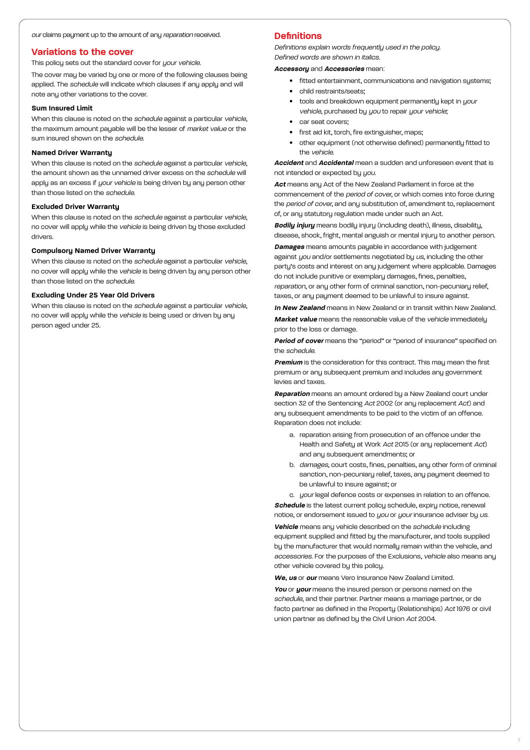#### our claims payment up to the amount of any reparation received.

## **Variations to the cover**

This policy sets out the standard cover for your vehicle.

The cover may be varied by one or more of the following clauses being applied. The schedule will indicate which clauses if any apply and will note any other variations to the cover.

## **Sum Insured Limit**

When this clause is noted on the schedule against a particular vehicle, the maximum amount payable will be the lesser of market value or the sum insured shown on the schedule.

## **Named Driver Warranty**

When this clause is noted on the schedule against a particular vehicle, the amount shown as the unnamed driver excess on the schedule will apply as an excess if your vehicle is being driven by any person other than those listed on the schedule.

#### **Excluded Driver Warranty**

When this clause is noted on the schedule against a particular vehicle, no cover will apply while the vehicle is being driven by those excluded drivers.

#### **Compulsory Named Driver Warranty**

When this clause is noted on the schedule against a particular vehicle, no cover will apply while the vehicle is being driven by any person other than those listed on the schedule.

#### **Excluding Under 25 Year Old Drivers**

When this clause is noted on the *schedule* against a particular vehicle. no cover will apply while the vehicle is being used or driven by any person aged under 25.

# **Definitions**

Definitions explain words frequently used in the policy. Defined words are shown in italics.

#### **Accessory** and **Accessories** mean:

- fitted entertainment, communications and navigation sustems:
- child restraints/seats:
- tools and breakdown equipment permanently kept in your vehicle, purchased by you to repair your vehicle;
- car seat covers;
- first aid kit, torch, fire extinguisher, maps;
- other equipment (not otherwise defined) permanently fitted to the vehicle.

**Accident** and **Accidental** mean a sudden and unforeseen event that is not intended or expected by you.

**Act** means any Act of the New Zealand Parliament in force at the commencement of the period of cover, or which comes into force during the period of cover, and any substitution of, amendment to, replacement of, or any statutory regulation made under such an Act.

**Bodily injury** means bodily injury (including death), illness, disability, disease, shock, fright, mental anguish or mental injury to another person.

**Damages** means amounts payable in accordance with judgement against you and/or settlements negotiated by us, including the other party's costs and interest on any judgement where applicable. Damages do not include punitive or exemplary damages, fines, penalties, reparation, or any other form of criminal sanction, non-pecuniary relief, taxes, or any payment deemed to be unlawful to insure against.

**In New Zealand** means in New Zealand or in transit within New Zealand.

**Market value** means the reasonable value of the vehicle immediately prior to the loss or damage.

**Period of cover** means the "period" or "period of insurance" specified on the schedule.

**Premium** is the consideration for this contract. This may mean the first premium or any subsequent premium and includes any government levies and taxes.

**Reparation** means an amount ordered by a New Zealand court under section 32 of the Sentencing Act 2002 (or any replacement Act) and any subsequent amendments to be paid to the victim of an offence. Reparation does not include:

- a. reparation arising from prosecution of an offence under the Health and Safety at Work Act 2015 (or any replacement Act) and any subsequent amendments; or
- b. *damages*, court costs, fines, penalties, any other form of criminal sanction, non-pecuniary relief, taxes, any payment deemed to be unlawful to insure against; or

c. *your* legal defence costs or expenses in relation to an offence. **Schedule** is the latest current policy schedule, expiry notice, renewal notice, or endorsement issued to you or your insurance adviser by us. **Vehicle** means any vehicle described on the schedule including equipment supplied and fitted by the manufacturer, and tools supplied by the manufacturer that would normally remain within the vehicle, and accessories. For the purposes of the Exclusions, vehicle also means any other vehicle covered by this policy.

**We, us** or **our** means Vero Insurance New Zealand Limited.

**You** or **your** means the insured person or persons named on the schedule, and their partner. Partner means a marriage partner, or de facto partner as defined in the Propertu (Relationships) Act 1976 or civil union partner as defined by the Civil Union Act 2004.